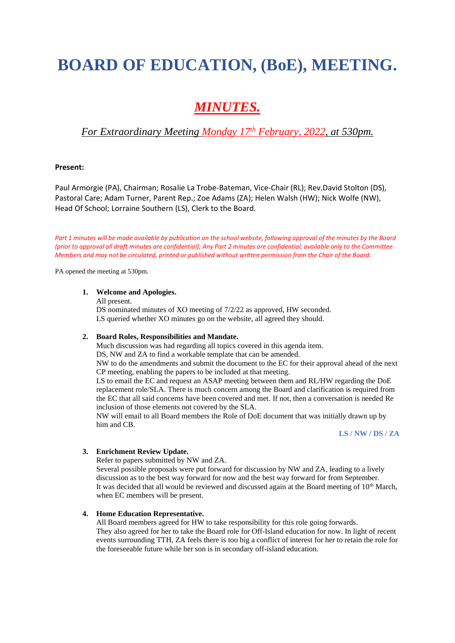# **BOARD OF EDUCATION, (BoE), MEETING.**

## *MINUTES.*

### *For Extraordinary Meeting Monday 17 th February, 2022, at 530pm.*

#### **Present:**

Paul Armorgie (PA), Chairman; Rosalie La Trobe-Bateman, Vice-Chair (RL); Rev.David Stolton (DS), Pastoral Care; Adam Turner, Parent Rep.; Zoe Adams (ZA); Helen Walsh (HW); Nick Wolfe (NW), Head Of School; Lorraine Southern (LS), Clerk to the Board.

Part 1 minutes will be made available by publication on the school website, following approval of the minutes by the Board *(prior to approval all draft minutes are confidential); Any Part 2 minutes are confidential, available only to the Committee Members and may not be circulated, printed or published without written permission from the Chair of the Board.*

PA opened the meeting at 530pm.

#### **1. Welcome and Apologies.**

All present.

DS nominated minutes of XO meeting of 7/2/22 as approved, HW seconded. LS queried whether XO minutes go on the website, all agreed they should.

#### **2. Board Roles, Responsibilities and Mandate.**

Much discussion was had regarding all topics covered in this agenda item.

DS, NW and ZA to find a workable template that can be amended.

NW to do the amendments and submit the document to the EC for their approval ahead of the next CP meeting, enabling the papers to be included at that meeting.

LS to email the EC and request an ASAP meeting between them and RL/HW regarding the DoE replacement role/SLA. There is much concern among the Board and clarification is required from the EC that all said concerns have been covered and met. If not, then a conversation is needed Re inclusion of those elements not covered by the SLA.

NW will email to all Board members the Role of DoE document that was initially drawn up by him and CB.

**LS / NW / DS / ZA**

#### **3. Enrichment Review Update.**

Refer to papers submitted by NW and ZA.

Several possible proposals were put forward for discussion by NW and ZA, leading to a lively discussion as to the best way forward for now and the best way forward for from September. It was decided that all would be reviewed and discussed again at the Board meeting of 10<sup>th</sup> March, when EC members will be present.

#### **4. Home Education Representative.**

All Board members agreed for HW to take responsibility for this role going forwards. They also agreed for her to take the Board role for Off-Island education for now. In light of recent events surrounding TTH, ZA feels there is too big a conflict of interest for her to retain the role for the foreseeable future while her son is in secondary off-island education.